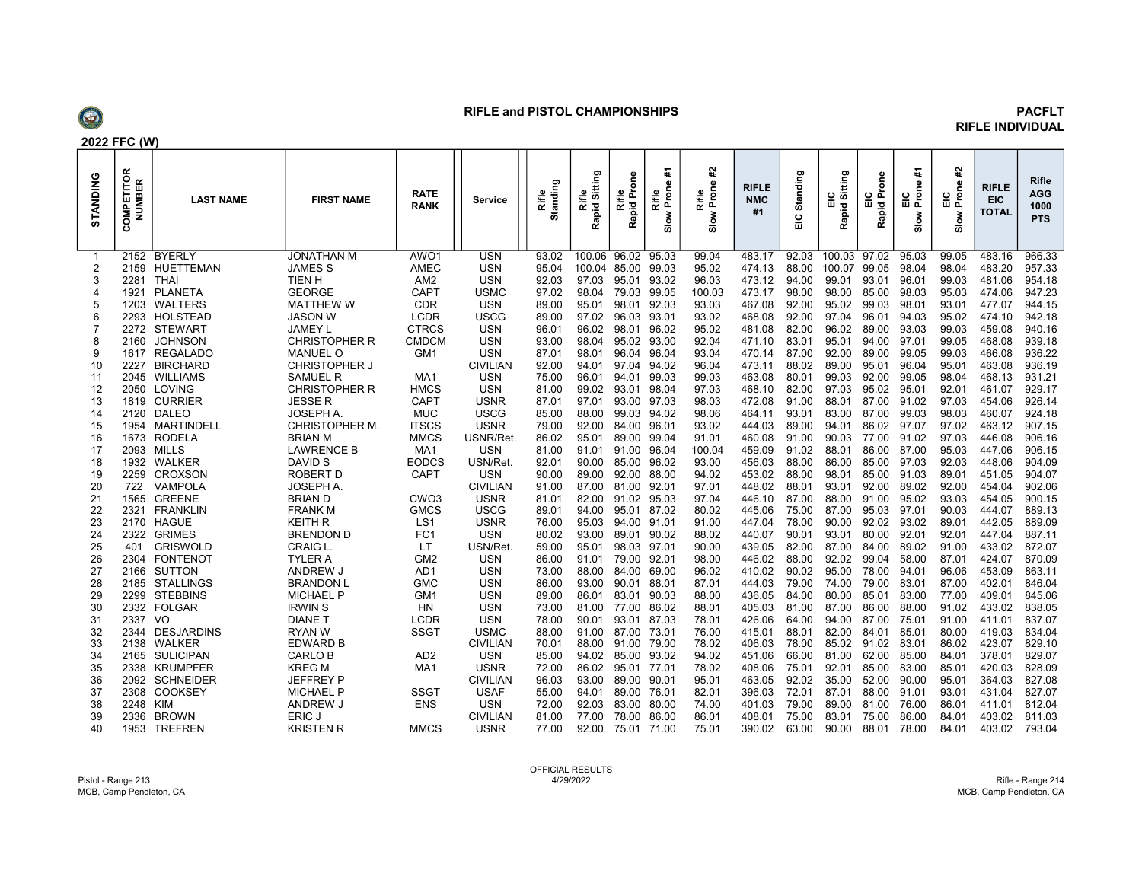

## RIFLE and PISTOL CHAMPIONSHIPS **PACELY PACELY**

## RIFLE INDIVIDUAL

|          | 2022 FFC (W                      |                  |                      |                     |                 |                       |                               |                      |                                |                              |                                  |               |                              |                        |                              |                                   |                                     |                                           |  |
|----------|----------------------------------|------------------|----------------------|---------------------|-----------------|-----------------------|-------------------------------|----------------------|--------------------------------|------------------------------|----------------------------------|---------------|------------------------------|------------------------|------------------------------|-----------------------------------|-------------------------------------|-------------------------------------------|--|
| STANDING | <b>COMPETITOR</b><br>NUMBER<br>Ō | <b>LAST NAME</b> | <b>FIRST NAME</b>    | <b>RATE</b><br>RANK | Service         | tanding<br>Rifle<br>ō | Sitting<br>Rifle<br>고<br>Rapi | Rifle<br>Rapid Prone | Ŧ<br>Rifle<br>Prone<br>$s$ low | ¥.<br>Rifle<br>Prone<br>Slow | <b>RIFLE</b><br><b>NMC</b><br>#1 | Standing<br>읆 | itting<br>ia<br>⊟ si<br>Rapi | guo<br>ပင်း<br>피호<br>œ | Ŧ<br>$rac{6}{25}$<br>$s$ low | 윺<br>ഉ<br><u>ូ</u><br>កំព<br>Slow | <b>RIFLE</b><br><b>EIC</b><br>TOTAL | <b>Rifle</b><br>AGG<br>1000<br><b>PTS</b> |  |
|          |                                  | 2152 BYERLY      | <b>JONATHAN M</b>    | AWO1                | <b>USN</b>      | 93.02                 |                               | 100.06 96.02 95.03   |                                | 99.04                        | 483.17                           | 92.03         | 100.03 97.02                 |                        | 95.03                        | 99.05                             | 483.16                              | 966.33                                    |  |
| 2        | 2159                             | HUETTEMAN        | <b>JAMES S</b>       | <b>AMEC</b>         | <b>USN</b>      | 95.04                 | 100.04 85.00                  |                      | 99.03                          | 95.02                        | 474.13                           | 88.00         | 100.07                       | 99.05                  | 98.04                        | 98.04                             | 483.20                              | 957.33                                    |  |
| 3        | 2281                             | THAI             | TIEN H               | AM <sub>2</sub>     | <b>USN</b>      | 92.03                 | 97.03                         | 95.01                | 93.02                          | 96.03                        | 473.12                           | 94.00         | 99.01                        | 93.01                  | 96.01                        | 99.03                             | 481.06                              | 954.18                                    |  |
|          | 1921                             | PLANETA          | <b>GEORGE</b>        | CAPT                | <b>USMC</b>     | 97.02                 | 98.04                         | 79.03                | 99.05                          | 100.03                       | 473.17                           | 98.00         | 98.00                        | 85.00                  | 98.03                        | 95.03                             | 474.06                              | 947.23                                    |  |
| 5        | 1203                             | WALTERS          | <b>MATTHEW W</b>     | CDR                 | <b>USN</b>      | 89.00                 | 95.01                         | 98.01                | 92.03                          | 93.03                        | 467.08                           | 92.00         | 95.02                        | 99.03                  | 98.01                        | 93.01                             | 477.07                              | 944.15                                    |  |
| 6        | 2293                             | HOLSTEAD         | <b>JASON W</b>       | LCDR                | <b>USCG</b>     | 89.00                 | 97.02                         | 96.03                | 93.01                          | 93.02                        | 468.08                           | 92.00         | 97.04                        | 96.01                  | 94.03                        | 95.02                             | 474.10                              | 942.18                                    |  |
|          |                                  | 2272 STEWART     | <b>JAMEY L</b>       | <b>CTRCS</b>        | <b>USN</b>      | 96.01                 | 96.02                         | 98.01                | 96.02                          | 95.02                        | 481.08                           | 82.00         | 96.02                        | 89.00                  | 93.03                        | 99.03                             | 459.08                              | 940.16                                    |  |
| 8        | 2160                             | <b>JOHNSON</b>   | <b>CHRISTOPHER R</b> | <b>CMDCM</b>        | <b>USN</b>      | 93.00                 | 98.04                         | 95.02                | 93.00                          | 92.04                        | 471.10                           | 83.01         | 95.01                        | 94.00                  | 97.01                        | 99.05                             | 468.08                              | 939.18                                    |  |
|          |                                  | 1617 REGALADO    | <b>MANUEL O</b>      | GM <sub>1</sub>     | <b>USN</b>      | 87.01                 | 98.01                         | 96.04                | 96.04                          | 93.04                        | 470.14                           | 87.00         | 92.00                        | 89.00                  | 99.05                        | 99.03                             | 466.08                              | 936.22                                    |  |
| 10       | 2227                             | <b>BIRCHARD</b>  | CHRISTOPHER J        |                     | <b>CIVILIAN</b> | 92.00                 | 94.01                         | 97.04                | 94.02                          | 96.04                        | 473.11                           | 88.02         | 89.00                        | 95.01                  | 96.04                        | 95.01                             | 463.08                              | 936.19                                    |  |
| 11       |                                  | 2045 WILLIAMS    | <b>SAMUEL R</b>      | MA <sub>1</sub>     | <b>USN</b>      | 75.00                 | 96.01                         | 94.01                | 99.03                          | 99.03                        | 463.08                           | 80.01         | 99.03                        | 92.00                  | 99.05                        | 98.04                             | 468.13                              | 931.21                                    |  |
| 12       | 2050                             | LOVING           | <b>CHRISTOPHER R</b> | <b>HMCS</b>         | <b>USN</b>      | 81.00                 | 99.02                         | 93.01                | 98.04                          | 97.03                        | 468.10                           | 82.00         | 97.03                        | 95.02                  | 95.01                        | 92.01                             | 461.07                              | 929.17                                    |  |
| 13       | 1819                             | <b>CURRIER</b>   | JESSE R              | CAPT                | <b>USNR</b>     | 87.01                 | 97.01                         | 93.00                | 97.03                          | 98.03                        | 472.08                           | 91.00         | 88.01                        | 87.00                  | 91.02                        | 97.03                             | 454.06                              | 926.14                                    |  |
| 14       |                                  | 2120 DALEO       | JOSEPH A.            | <b>MUC</b>          | <b>USCG</b>     | 85.00                 | 88.00                         | 99.03                | 94.02                          | 98.06                        | 464.11                           | 93.01         | 83.00                        | 87.00                  | 99.03                        | 98.03                             | 460.07                              | 924.18                                    |  |
| 15       | 1954                             | MARTINDELL       | CHRISTOPHER M.       | <b>ITSCS</b>        | <b>USNR</b>     | 79.00                 | 92.00                         | 84.00                | 96.01                          | 93.02                        | 444.03                           | 89.00         | 94.01                        | 86.02                  | 97.07                        | 97.02                             | 463.12                              | 907.15                                    |  |
| 16       | 1673                             | <b>RODELA</b>    | <b>BRIAN M</b>       | <b>MMCS</b>         | USNR/Ret.       | 86.02                 | 95.01                         | 89.00                | 99.04                          | 91.01                        | 460.08                           | 91.00         | 90.03                        | 77.00                  | 91.02                        | 97.03                             | 446.08                              | 906.16                                    |  |
| 17       | 2093                             | MILLS            | <b>LAWRENCE B</b>    | MA1                 | <b>USN</b>      | 81.00                 | 91.01                         | 91.00                | 96.04                          | 100.04                       | 459.09                           | 91.02         | 88.01                        | 86.00                  | 87.00                        | 95.03                             | 447.06                              | 906.15                                    |  |
| 18       | 1932                             | WALKER           | DAVID S              | <b>EODCS</b>        | USN/Ret.        | 92.01                 | 90.00                         | 85.00                | 96.02                          | 93.00                        | 456.03                           | 88.00         | 86.00                        | 85.00                  | 97.03                        | 92.03                             | 448.06                              | 904.09                                    |  |
| 19       | 2259                             | CROXSON          | <b>ROBERT D</b>      | CAPT                | <b>USN</b>      | 90.00                 | 89.00                         | 92.00                | 88.00                          | 94.02                        | 453.02                           | 88.00         | 98.01                        | 85.00                  | 91.03                        | 89.01                             | 451.05                              | 904.07                                    |  |
| 20       | 722                              | <b>VAMPOLA</b>   | JOSEPH A.            |                     | <b>CIVILIAN</b> | 91.00                 | 87.00                         | 81.00                | 92.01                          | 97.01                        | 448.02                           | 88.01         | 93.01                        | 92.00                  | 89.02                        | 92.00                             | 454.04                              | 902.06                                    |  |
| 21       | 1565                             | <b>GREENE</b>    | <b>BRIAN D</b>       | CWO <sub>3</sub>    | <b>USNR</b>     | 81.01                 | 82.00                         | 91.02                | 95.03                          | 97.04                        | 446.10                           | 87.00         | 88.00                        | 91.00                  | 95.02                        | 93.03                             | 454.05                              | 900.15                                    |  |
| 22       | 2321                             | <b>FRANKLIN</b>  | <b>FRANK M</b>       | <b>GMCS</b>         | <b>USCG</b>     | 89.01                 | 94.00                         | 95.01                | 87.02                          | 80.02                        | 445.06                           | 75.00         | 87.00                        | 95.03                  | 97.01                        | 90.03                             | 444.07                              | 889.13                                    |  |
| 23       |                                  | 2170 HAGUE       | KEITH R              | LS1                 | <b>USNR</b>     | 76.00                 | 95.03                         | 94.00                | 91.01                          | 91.00                        | 447.04                           | 78.00         | 90.00                        | 92.02                  | 93.02                        | 89.01                             | 442.05                              | 889.09                                    |  |
| 24       | 2322                             | <b>GRIMES</b>    | <b>BRENDON D</b>     | FC <sub>1</sub>     | <b>USN</b>      | 80.02                 | 93.00                         | 89.01                | 90.02                          | 88.02                        | 440.07                           | 90.01         | 93.01                        | 80.00                  | 92.01                        | 92.01                             | 447.04                              | 887.11                                    |  |
| 25       | 401                              | <b>GRISWOLD</b>  | <b>CRAIG L</b>       | LT                  | USN/Ret.        | 59.00                 | 95.01                         | 98.03                | 97.01                          | 90.00                        | 439.05                           | 82.00         | 87.00                        | 84.00                  | 89.02                        | 91.00                             | 433.02                              | 872.07                                    |  |
| 26       | 2304                             | <b>FONTENOT</b>  | <b>TYLER A</b>       | GM <sub>2</sub>     | <b>USN</b>      | 86.00                 | 91.01                         | 79.00                | 92.01                          | 98.00                        | 446.02                           | 88.00         | 92.02                        | 99.04                  | 58.00                        | 87.01                             | 424.07                              | 870.09                                    |  |
| 27       |                                  | 2166 SUTTON      | ANDREW J             | AD1                 | <b>USN</b>      | 73.00                 | 88.00                         | 84.00                | 69.00                          | 96.02                        | 410.02                           | 90.02         | 95.00                        | 78.00                  | 94.01                        | 96.06                             | 453.09                              | 863.11                                    |  |
| 28       | 2185                             | STALLINGS        | <b>BRANDON L</b>     | <b>GMC</b>          | <b>USN</b>      | 86.00                 | 93.00                         | 90.01                | 88.01                          | 87.01                        | 444.03                           | 79.00         | 74.00                        | 79.00                  | 83.01                        | 87.00                             | 402.01                              | 846.04                                    |  |
| 29       |                                  | 2299 STEBBINS    | <b>MICHAEL P</b>     | GM <sub>1</sub>     | <b>USN</b>      | 89.00                 | 86.01                         | 83.01                | 90.03                          | 88.00                        | 436.05                           | 84.00         | 80.00                        | 85.01                  | 83.00                        | 77.00                             | 409.01                              | 845.06                                    |  |
| 30       |                                  | 2332 FOLGAR      | <b>IRWIN S</b>       | HN                  | <b>USN</b>      | 73.00                 | 81.00                         | 77.00                | 86.02                          | 88.01                        | 405.03                           | 81.00         | 87.00                        | 86.00                  | 88.00                        | 91.02                             | 433.02                              | 838.05                                    |  |
| 31       | 2337                             | VO               | <b>DIANE T</b>       | LCDR                | <b>USN</b>      | 78.00                 | 90.01                         | 93.01                | 87.03                          | 78.01                        | 426.06                           | 64.00         | 94.00                        | 87.00                  | 75.01                        | 91.00                             | 411.01                              | 837.07                                    |  |
| 32       |                                  | 2344 DESJARDINS  | RYAN W               | SSGT                | <b>USMC</b>     | 88.00                 | 91.00                         | 87.00                | 73.01                          | 76.00                        | 415.01                           | 88.01         | 82.00                        | 84.01                  | 85.01                        | 80.00                             | 419.03                              | 834.04                                    |  |
| 33       |                                  | 2138 WALKER      | EDWARD B             |                     | <b>CIVILIAN</b> | 70.01                 | 88.00                         | 91.00                | 79.00                          | 78.02                        | 406.03                           | 78.00         | 85.02                        | 91.02                  | 83.01                        | 86.02                             | 423.07                              | 829.10                                    |  |
| 34       |                                  | 2165 SULICIPAN   | CARLO B              | AD <sub>2</sub>     | <b>USN</b>      | 85.00                 | 94.02                         | 85.00                | 93.02                          | 94.02                        | 451.06                           | 66.00         | 81.00                        | 62.00                  | 85.00                        | 84.01                             | 378.01                              | 829.07                                    |  |
| 35       |                                  | 2338 KRUMPFER    | <b>KREG M</b>        | MA <sub>1</sub>     | <b>USNR</b>     | 72.00                 | 86.02                         | 95.01                | 77.01                          | 78.02                        | 408.06                           | 75.01         | 92.01                        | 85.00                  | 83.00                        | 85.01                             | 420.03                              | 828.09                                    |  |
| 36       | 2092                             | <b>SCHNEIDER</b> | JEFFREY P            |                     | <b>CIVILIAN</b> | 96.03                 | 93.00                         | 89.00                | 90.01                          | 95.01                        | 463.05                           | 92.02         | 35.00                        | 52.00                  | 90.00                        | 95.01                             | 364.03                              | 827.08                                    |  |
| 37       | 2308                             | COOKSEY          | <b>MICHAEL P</b>     | SSGT                | <b>USAF</b>     | 55.00                 | 94.01                         | 89.00                | 76.01                          | 82.01                        | 396.03                           | 72.01         | 87.01                        | 88.00                  | 91.01                        | 93.01                             | 431.04                              | 827.07                                    |  |
| 38       | 2248                             | KIM              | ANDREW J             | ENS                 | <b>USN</b>      | 72.00                 | 92.03                         | 83.00                | 80.00                          | 74.00                        | 401.03                           | 79.00         | 89.00                        | 81.00                  | 76.00                        | 86.01                             | 411.01                              | 812.04                                    |  |
| 39       |                                  | 2336 BROWN       | ERIC J               |                     | <b>CIVILIAN</b> | 81.00                 | 77.00                         | 78.00                | 86.00                          | 86.01                        | 408.01                           | 75.00         | 83.01                        | 75.00                  | 86.00                        | 84.01                             | 403.02                              | 811.03                                    |  |
| 40       | 1953                             | TREFREN          | <b>KRISTEN R</b>     | <b>MMCS</b>         | <b>USNR</b>     | 77.00                 | 92.00                         | 75.01                | 71.00                          | 75.01                        | 390.02                           | 63.00         | 90.00                        | 88.01                  | 78.00                        | 84.01                             | 403.02                              | 793.04                                    |  |
|          |                                  |                  |                      |                     |                 |                       |                               |                      |                                |                              |                                  |               |                              |                        |                              |                                   |                                     |                                           |  |

Pistol - Range 213 MCB, Camp Pendleton, CA